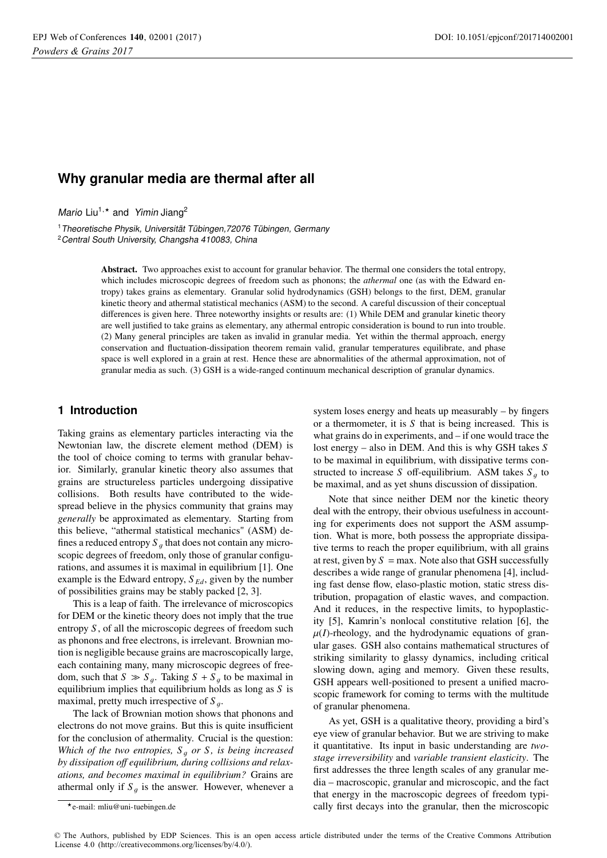# **Why granular media are thermal after all**

Mario Liu<sup>1,\*</sup> and Yimin Jiang<sup>2</sup>

<sup>1</sup> Theoretische Physik, Universität Tübingen, 72076 Tübingen, Germany  $2$ Central South University, Changsha 410083, China Central South University, Changsha 410083, China

> Abstract. Two approaches exist to account for granular behavior. The thermal one considers the total entropy, which includes microscopic degrees of freedom such as phonons; the *athermal* one (as with the Edward entropy) takes grains as elementary. Granular solid hydrodynamics (GSH) belongs to the first, DEM, granular kinetic theory and athermal statistical mechanics (ASM) to the second. A careful discussion of their conceptual differences is given here. Three noteworthy insights or results are: (1) While DEM and granular kinetic theory are well justified to take grains as elementary, any athermal entropic consideration is bound to run into trouble. (2) Many general principles are taken as invalid in granular media. Yet within the thermal approach, energy conservation and fluctuation-dissipation theorem remain valid, granular temperatures equilibrate, and phase space is well explored in a grain at rest. Hence these are abnormalities of the athermal approximation, not of granular media as such. (3) GSH is a wide-ranged continuum mechanical description of granular dynamics.

## **1 Introduction**

Taking grains as elementary particles interacting via the Newtonian law, the discrete element method (DEM) is the tool of choice coming to terms with granular behavior. Similarly, granular kinetic theory also assumes that grains are structureless particles undergoing dissipative collisions. Both results have contributed to the widespread believe in the physics community that grains may *generally* be approximated as elementary. Starting from this believe, "athermal statistical mechanics" (ASM) defines a reduced entropy  $S<sub>q</sub>$  that does not contain any microscopic degrees of freedom, only those of granular configurations, and assumes it is maximal in equilibrium [1]. One example is the Edward entropy, *S Ed*, given by the number of possibilities grains may be stably packed [2, 3].

This is a leap of faith. The irrelevance of microscopics for DEM or the kinetic theory does not imply that the true entropy *S* , of all the microscopic degrees of freedom such as phonons and free electrons, is irrelevant. Brownian motion is negligible because grains are macroscopically large, each containing many, many microscopic degrees of freedom, such that  $S \gg S_g$ . Taking  $S + S_g$  to be maximal in equilibrium implies that equilibrium holds as long as *S* is maximal, pretty much irrespective of  $S<sub>a</sub>$ .

The lack of Brownian motion shows that phonons and electrons do not move grains. But this is quite insufficient for the conclusion of athermality. Crucial is the question: *Which of the two entropies,*  $S_q$  *or S, is being increased by dissipation o*ff *equilibrium, during collisions and relaxations, and becomes maximal in equilibrium?* Grains are athermal only if  $S_q$  is the answer. However, whenever a system loses energy and heats up measurably – by fingers or a thermometer, it is *S* that is being increased. This is what grains do in experiments, and – if one would trace the lost energy – also in DEM. And this is why GSH takes *S* to be maximal in equilibrium, with dissipative terms constructed to increase *S* off-equilibrium. ASM takes  $S<sub>a</sub>$  to be maximal, and as yet shuns discussion of dissipation.

Note that since neither DEM nor the kinetic theory deal with the entropy, their obvious usefulness in accounting for experiments does not support the ASM assumption. What is more, both possess the appropriate dissipative terms to reach the proper equilibrium, with all grains at rest, given by  $S = \max$ . Note also that GSH successfully describes a wide range of granular phenomena [4], including fast dense flow, elaso-plastic motion, static stress distribution, propagation of elastic waves, and compaction. And it reduces, in the respective limits, to hypoplasticity [5], Kamrin's nonlocal constitutive relation [6], the  $\mu(I)$ -rheology, and the hydrodynamic equations of granular gases. GSH also contains mathematical structures of striking similarity to glassy dynamics, including critical slowing down, aging and memory. Given these results, GSH appears well-positioned to present a unified macroscopic framework for coming to terms with the multitude of granular phenomena.

As yet, GSH is a qualitative theory, providing a bird's eye view of granular behavior. But we are striving to make it quantitative. Its input in basic understanding are *twostage irreversibility* and *variable transient elasticity*. The first addresses the three length scales of any granular media – macroscopic, granular and microscopic, and the fact that energy in the macroscopic degrees of freedom typically first decays into the granular, then the microscopic

© The Authors, published by EDP Sciences. This is an open access article distributed under the terms of the Creative Commons Attribution License 4.0 (http://creativecommons.org/licenses/by/4.0/).

<sup>-</sup>e-mail: mliu@uni-tuebingen.de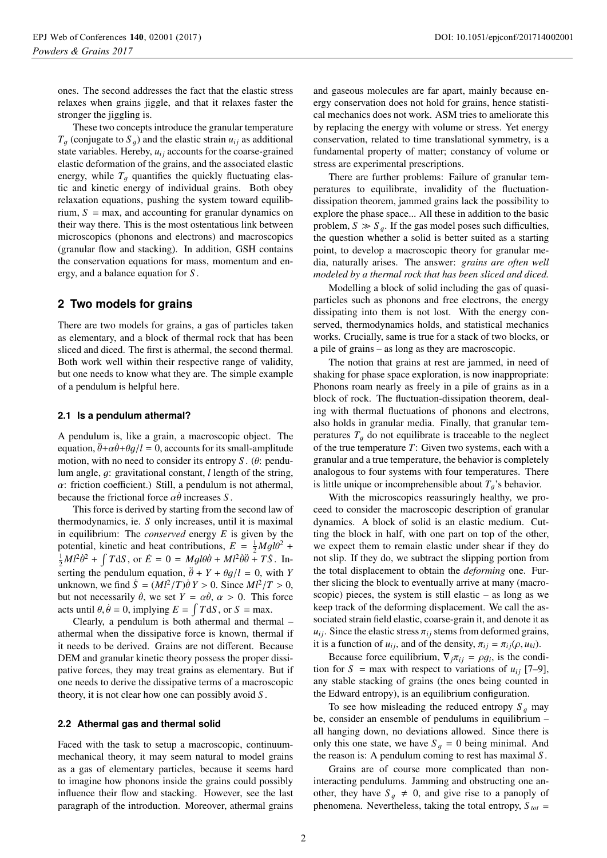ones. The second addresses the fact that the elastic stress relaxes when grains jiggle, and that it relaxes faster the stronger the jiggling is.

These two concepts introduce the granular temperature  $T_a$  (conjugate to  $S_a$ ) and the elastic strain  $u_{ij}$  as additional state variables. Hereby,  $u_{ij}$  accounts for the coarse-grained elastic deformation of the grains, and the associated elastic energy, while  $T<sub>q</sub>$  quantifies the quickly fluctuating elastic and kinetic energy of individual grains. Both obey relaxation equations, pushing the system toward equilibrium,  $S = \text{max}$ , and accounting for granular dynamics on their way there. This is the most ostentatious link between microscopics (phonons and electrons) and macroscopics (granular flow and stacking). In addition, GSH contains the conservation equations for mass, momentum and energy, and a balance equation for *S* .

# **2 Two models for grains**

There are two models for grains, a gas of particles taken as elementary, and a block of thermal rock that has been sliced and diced. The first is athermal, the second thermal. Both work well within their respective range of validity, but one needs to know what they are. The simple example of a pendulum is helpful here.

#### **2.1 Is a pendulum athermal?**

A pendulum is, like a grain, a macroscopic object. The equation,  $\ddot{\theta} + \alpha \dot{\theta} + \theta q/l = 0$ , accounts for its small-amplitude motion, with no need to consider its entropy *<sup>S</sup>* . (θ: pendulum angle, g: gravitational constant, *<sup>l</sup>* length of the string,  $\alpha$ : friction coefficient.) Still, a pendulum is not athermal, because the frictional force  $\alpha \dot{\theta}$  increases *S*.

This force is derived by starting from the second law of thermodynamics, ie. *S* only increases, until it is maximal in equilibrium: The *conserved* energy *E* is given by the potential, kinetic and heat contributions,  $E = \frac{1}{2}Mgl\theta^2 +$ <br> $\frac{1}{2}Mgl\theta^2$  +  $\int TdS$  or  $\dot{E} = 0 = Mgl\theta^2 + Ml^2\dot{\theta}^2 + T\dot{S}$ . In  $\frac{1}{2}M^2\dot{\theta}^2 + \int T dS$ , or  $\dot{E} = 0 = Mgl\dot{\theta}\dot{\theta} + M^2\dot{\theta}\dot{\theta} + T\dot{S}$ . Inserting the pendulum equation,  $\ddot{\theta} + Y + \theta g/l = 0$ , with *Y* unknown, we find  $\dot{S} = (Ml^2/T)\dot{\theta}Y > 0$ . Since  $Ml^2/T > 0$ , but not necessarily  $\dot{\theta}$ , we set  $Y = \alpha \dot{\theta}$ ,  $\alpha > 0$ . This force acts until  $\theta$ ,  $\dot{\theta} = 0$ , implying  $E = \int T dS$ , or  $S = \text{max}$ .<br>Clearly, a pendulum is both athermal and there

Clearly, a pendulum is both athermal and thermal – athermal when the dissipative force is known, thermal if it needs to be derived. Grains are not different. Because DEM and granular kinetic theory possess the proper dissipative forces, they may treat grains as elementary. But if one needs to derive the dissipative terms of a macroscopic theory, it is not clear how one can possibly avoid *S* .

## **2.2 Athermal gas and thermal solid**

Faced with the task to setup a macroscopic, continuummechanical theory, it may seem natural to model grains as a gas of elementary particles, because it seems hard to imagine how phonons inside the grains could possibly influence their flow and stacking. However, see the last paragraph of the introduction. Moreover, athermal grains

and gaseous molecules are far apart, mainly because energy conservation does not hold for grains, hence statistical mechanics does not work. ASM tries to ameliorate this by replacing the energy with volume or stress. Yet energy conservation, related to time translational symmetry, is a fundamental property of matter; constancy of volume or stress are experimental prescriptions.

There are further problems: Failure of granular temperatures to equilibrate, invalidity of the fluctuationdissipation theorem, jammed grains lack the possibility to explore the phase space... All these in addition to the basic problem,  $S \gg S_g$ . If the gas model poses such difficulties, the question whether a solid is better suited as a starting point, to develop a macroscopic theory for granular media, naturally arises. The answer: *grains are often well modeled by a thermal rock that has been sliced and diced.*

Modelling a block of solid including the gas of quasiparticles such as phonons and free electrons, the energy dissipating into them is not lost. With the energy conserved, thermodynamics holds, and statistical mechanics works. Crucially, same is true for a stack of two blocks, or a pile of grains – as long as they are macroscopic.

The notion that grains at rest are jammed, in need of shaking for phase space exploration, is now inappropriate: Phonons roam nearly as freely in a pile of grains as in a block of rock. The fluctuation-dissipation theorem, dealing with thermal fluctuations of phonons and electrons, also holds in granular media. Finally, that granular temperatures  $T<sub>q</sub>$  do not equilibrate is traceable to the neglect of the true temperature *T*: Given two systems, each with a granular and a true temperature, the behavior is completely analogous to four systems with four temperatures. There is little unique or incomprehensible about  $T_g$ 's behavior.

With the microscopics reassuringly healthy, we proceed to consider the macroscopic description of granular dynamics. A block of solid is an elastic medium. Cutting the block in half, with one part on top of the other, we expect them to remain elastic under shear if they do not slip. If they do, we subtract the slipping portion from the total displacement to obtain the *deforming* one. Further slicing the block to eventually arrive at many (macroscopic) pieces, the system is still elastic  $-$  as long as we keep track of the deforming displacement. We call the associated strain field elastic, coarse-grain it, and denote it as  $u_{ij}$ . Since the elastic stress  $\pi_{ij}$  stems from deformed grains, it is a function of  $u_{ij}$ , and of the density,  $\pi_{ij} = \pi_{ij}(\rho, u_{kl})$ .

Because force equilibrium,  $\nabla_i \pi_{ii} = \rho g_i$ , is the condition for  $S = \max$  with respect to variations of  $u_{ii}$  [7–9], any stable stacking of grains (the ones being counted in the Edward entropy), is an equilibrium configuration.

To see how misleading the reduced entropy  $S<sub>q</sub>$  may be, consider an ensemble of pendulums in equilibrium – all hanging down, no deviations allowed. Since there is only this one state, we have  $S<sub>q</sub> = 0$  being minimal. And the reason is: A pendulum coming to rest has maximal *S* .

Grains are of course more complicated than noninteracting pendulums. Jamming and obstructing one another, they have  $S_g \neq 0$ , and give rise to a panoply of phenomena. Nevertheless, taking the total entropy,  $S_{tot}$  =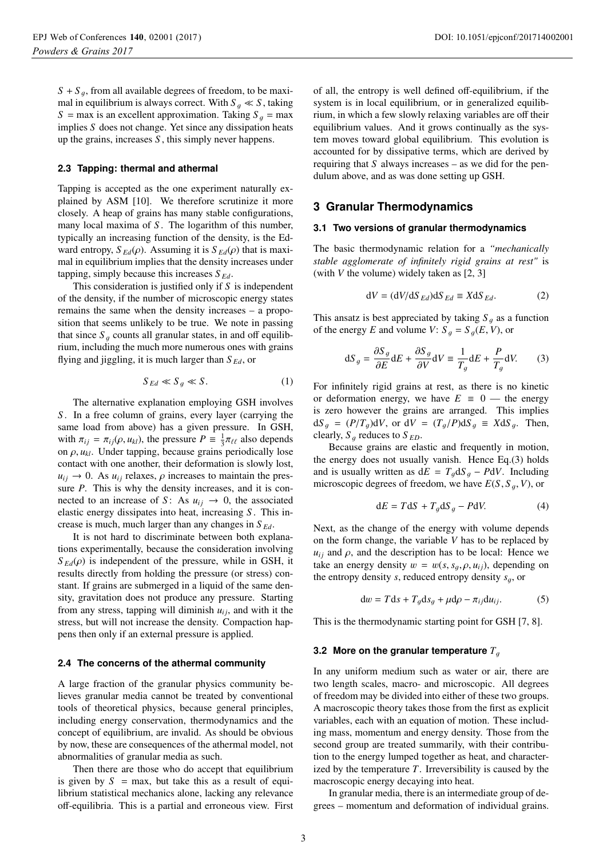$S + S_a$ , from all available degrees of freedom, to be maximal in equilibrium is always correct. With  $S_q \ll S$ , taking  $S = \max$  is an excellent approximation. Taking  $S<sub>q</sub> = \max$ implies *S* does not change. Yet since any dissipation heats up the grains, increases *S* , this simply never happens.

## **2.3 Tapping: thermal and athermal**

Tapping is accepted as the one experiment naturally explained by ASM [10]. We therefore scrutinize it more closely. A heap of grains has many stable configurations, many local maxima of *S*. The logarithm of this number, typically an increasing function of the density, is the Edward entropy,  $S_{Ed}(\rho)$ . Assuming it is  $S_{Ed}(\rho)$  that is maximal in equilibrium implies that the density increases under tapping, simply because this increases  $S_{Ed}$ .

This consideration is justified only if *S* is independent of the density, if the number of microscopic energy states remains the same when the density increases – a proposition that seems unlikely to be true. We note in passing that since  $S_q$  counts all granular states, in and off equilibrium, including the much more numerous ones with grains flying and jiggling, it is much larger than *S Ed*, or

$$
S_{Ed} \ll S_g \ll S. \tag{1}
$$

The alternative explanation employing GSH involves *S* . In a free column of grains, every layer (carrying the same load from above) has a given pressure. In GSH, with  $\pi_{ij} = \pi_{ij}(\rho, u_{kl})$ , the pressure  $P = \frac{1}{3}\pi_{\ell\ell}$  also depends<br>on  $\rho, u_{kl}$ . Under tanning, because grains periodically lose on  $\rho$ ,  $u_{kl}$ . Under tapping, because grains periodically lose contact with one another, their deformation is slowly lost,  $u_{ij} \rightarrow 0$ . As  $u_{ij}$  relaxes,  $\rho$  increases to maintain the pressure *P*. This is why the density increases, and it is connected to an increase of *S*: As  $u_{ij} \rightarrow 0$ , the associated elastic energy dissipates into heat, increasing *S* . This increase is much, much larger than any changes in *S Ed*.

It is not hard to discriminate between both explanations experimentally, because the consideration involving  $S_{Ed}(\rho)$  is independent of the pressure, while in GSH, it results directly from holding the pressure (or stress) constant. If grains are submerged in a liquid of the same density, gravitation does not produce any pressure. Starting from any stress, tapping will diminish  $u_{ij}$ , and with it the stress, but will not increase the density. Compaction happens then only if an external pressure is applied.

#### **2.4 The concerns of the athermal community**

A large fraction of the granular physics community believes granular media cannot be treated by conventional tools of theoretical physics, because general principles, including energy conservation, thermodynamics and the concept of equilibrium, are invalid. As should be obvious by now, these are consequences of the athermal model, not abnormalities of granular media as such.

Then there are those who do accept that equilibrium is given by  $S = \max$ , but take this as a result of equilibrium statistical mechanics alone, lacking any relevance off-equilibria. This is a partial and erroneous view. First of all, the entropy is well defined off-equilibrium, if the system is in local equilibrium, or in generalized equilibrium, in which a few slowly relaxing variables are off their equilibrium values. And it grows continually as the system moves toward global equilibrium. This evolution is accounted for by dissipative terms, which are derived by requiring that  $S$  always increases – as we did for the pendulum above, and as was done setting up GSH.

# **3 Granular Thermodynamics**

#### **3.1 Two versions of granular thermodynamics**

The basic thermodynamic relation for a *"mechanically stable agglomerate of infinitely rigid grains at rest"* is (with *V* the volume) widely taken as [2, 3]

$$
dV = (dV/dSEd)dSEd \equiv XdSEd.
$$
 (2)

This ansatz is best appreciated by taking  $S<sub>q</sub>$  as a function of the energy *E* and volume *V*:  $S_q = S_q(E, V)$ , or

$$
dS_g = \frac{\partial S_g}{\partial E} dE + \frac{\partial S_g}{\partial V} dV \equiv \frac{1}{T_g} dE + \frac{P}{T_g} dV. \tag{3}
$$

For infinitely rigid grains at rest, as there is no kinetic or deformation energy, we have  $E \equiv 0$  — the energy is zero however the grains are arranged. This implies  $dS_q = (P/T_q)dV$ , or  $dV = (T_q/P)dS_q \equiv XdS_q$ . Then, clearly,  $S_q$  reduces to  $S_{ED}$ .

Because grains are elastic and frequently in motion, the energy does not usually vanish. Hence Eq.(3) holds and is usually written as  $dE = T<sub>g</sub> dS<sub>g</sub> - PdV$ . Including microscopic degrees of freedom, we have  $E(S, S_q, V)$ , or

$$
dE = TdS + T_g dS_g - PdV.
$$
 (4)

Next, as the change of the energy with volume depends on the form change, the variable *V* has to be replaced by  $u_{ij}$  and  $\rho$ , and the description has to be local: Hence we take an energy density  $w = w(s, s_a, \rho, u_{ij})$ , depending on the entropy density *s*, reduced entropy density  $s_a$ , or

$$
dw = Tds + T_g ds_g + \mu d\rho - \pi_{ij} du_{ij}.
$$
 (5)

This is the thermodynamic starting point for GSH [7, 8].

#### **3.2 More on the granular temperature**  $T_q$

In any uniform medium such as water or air, there are two length scales, macro- and microscopic. All degrees of freedom may be divided into either of these two groups. A macroscopic theory takes those from the first as explicit variables, each with an equation of motion. These including mass, momentum and energy density. Those from the second group are treated summarily, with their contribution to the energy lumped together as heat, and characterized by the temperature *T*. Irreversibility is caused by the macroscopic energy decaying into heat.

In granular media, there is an intermediate group of degrees – momentum and deformation of individual grains.